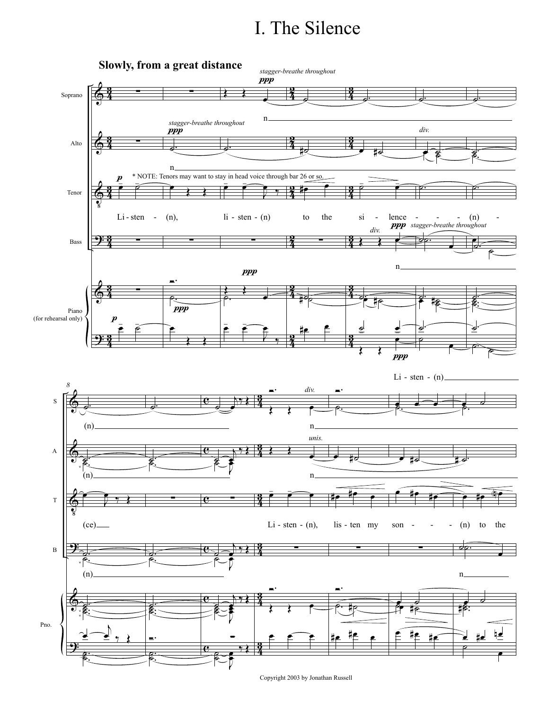#### I. The Silence



Copyright 2003 by Jonathan Russell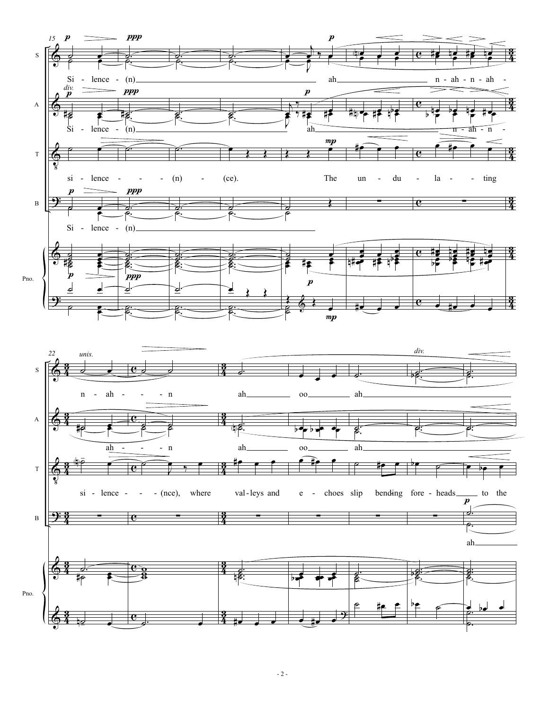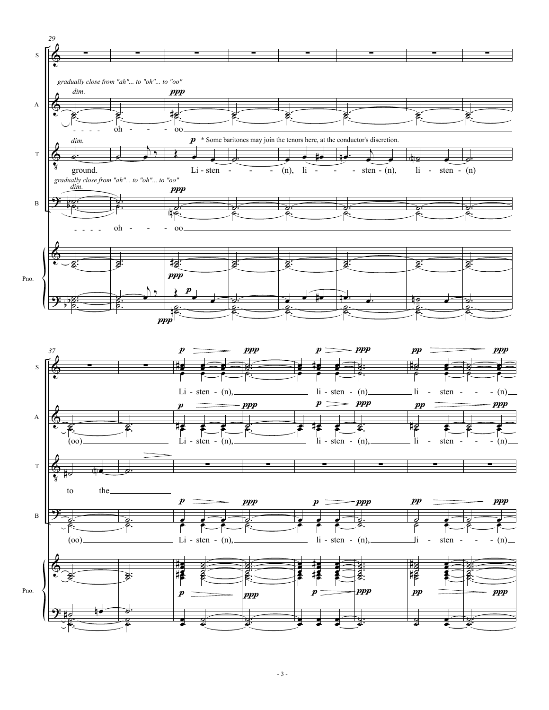

- 3 -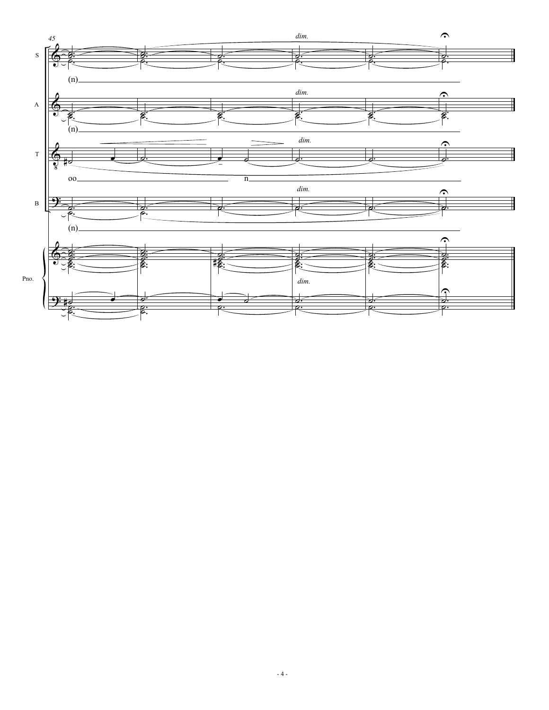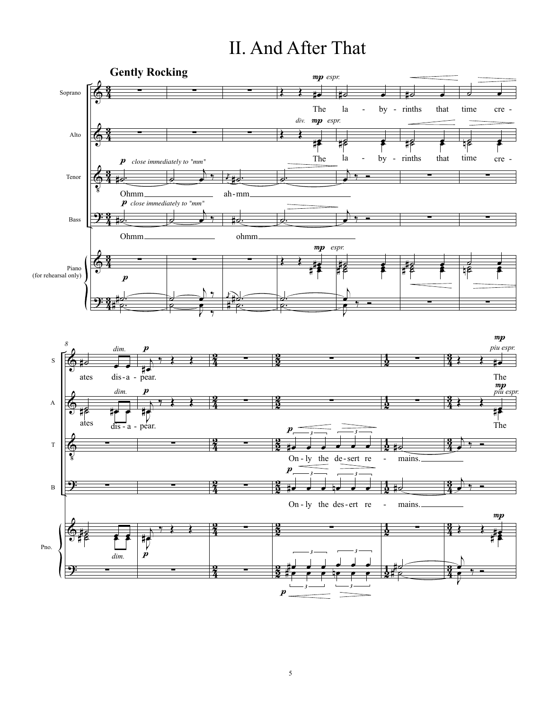#### II. And After That

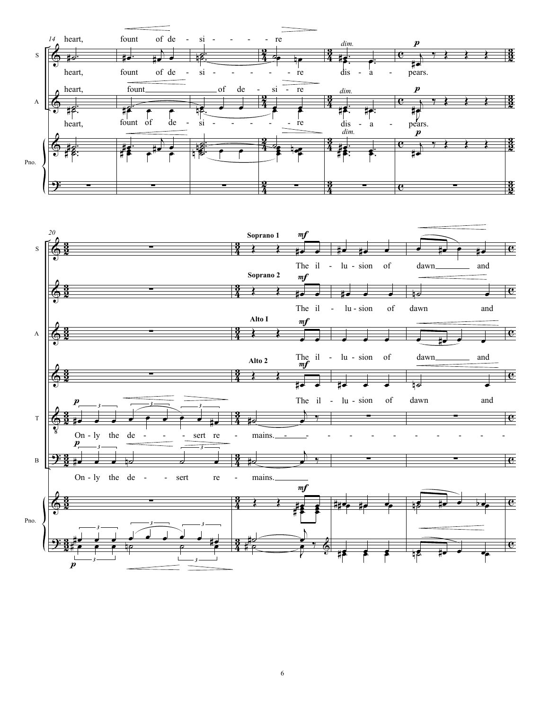

 $\sqrt{6}$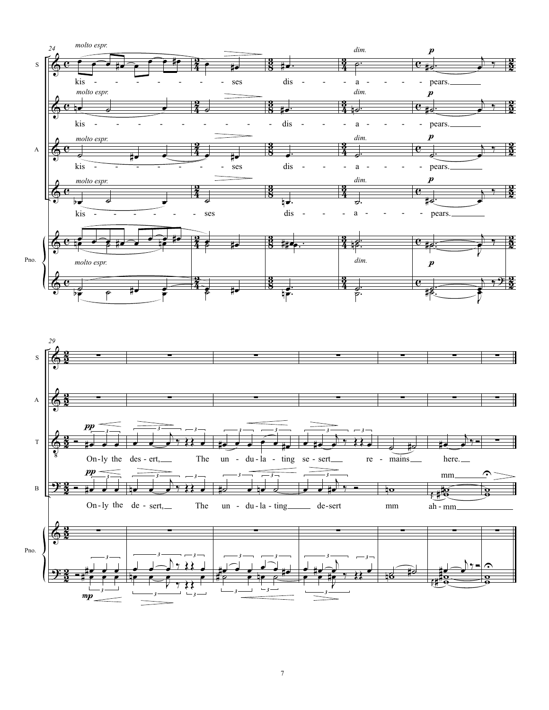

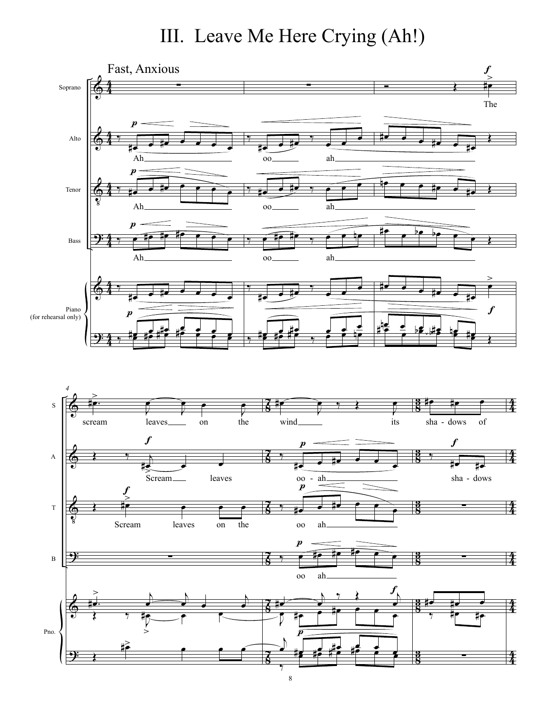III. Leave Me Here Crying (Ah!)

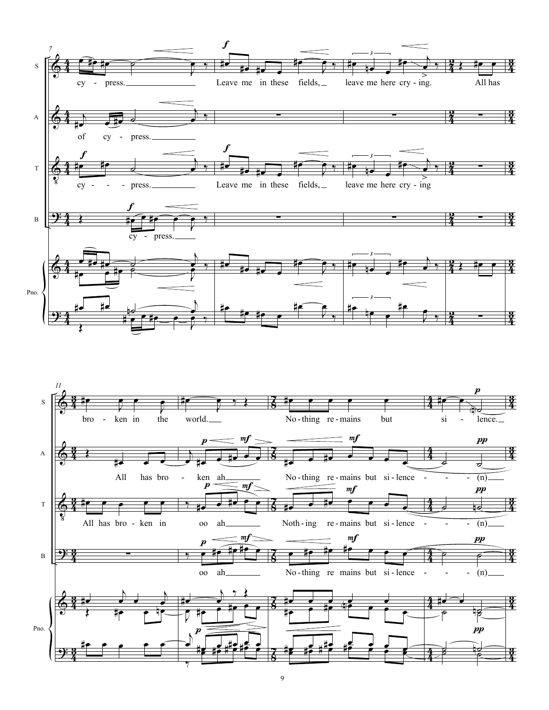

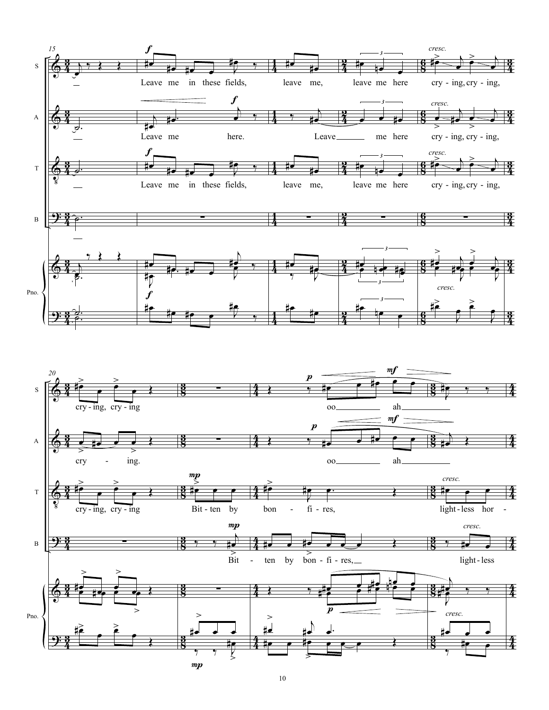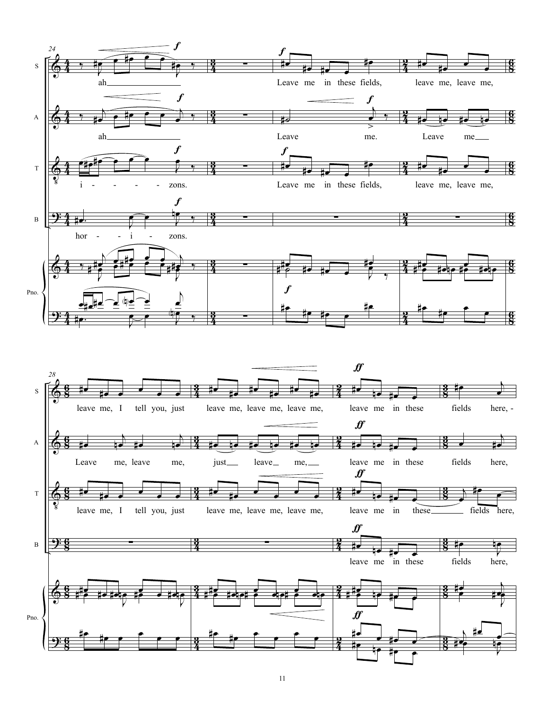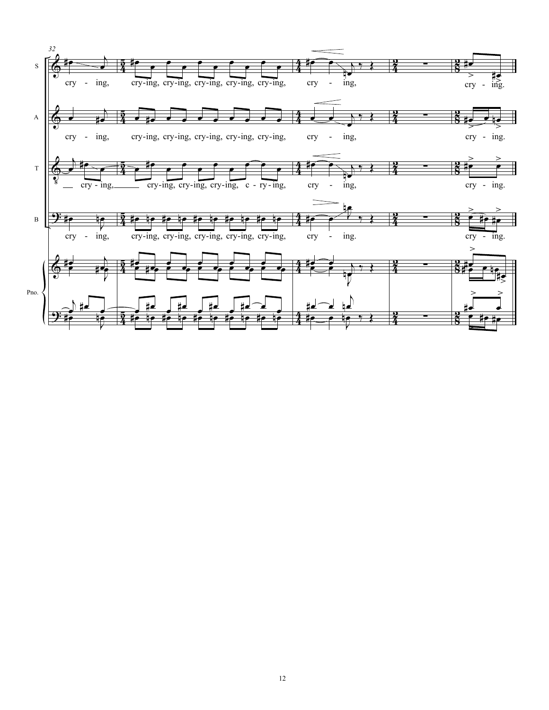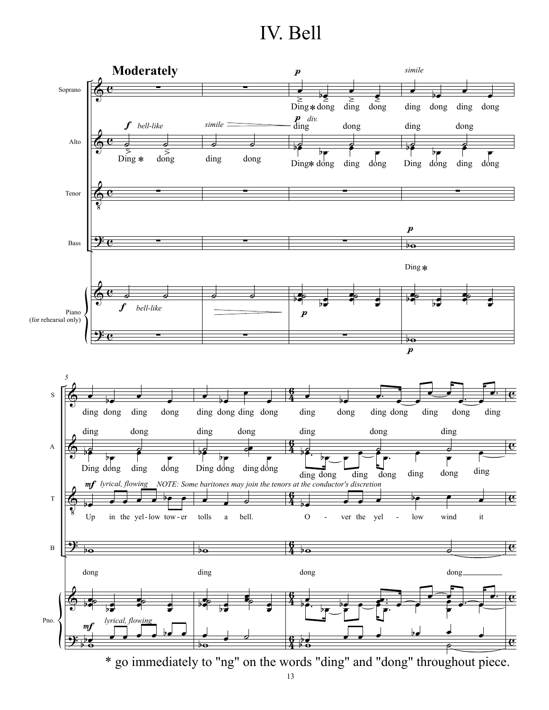#### IV. Bell

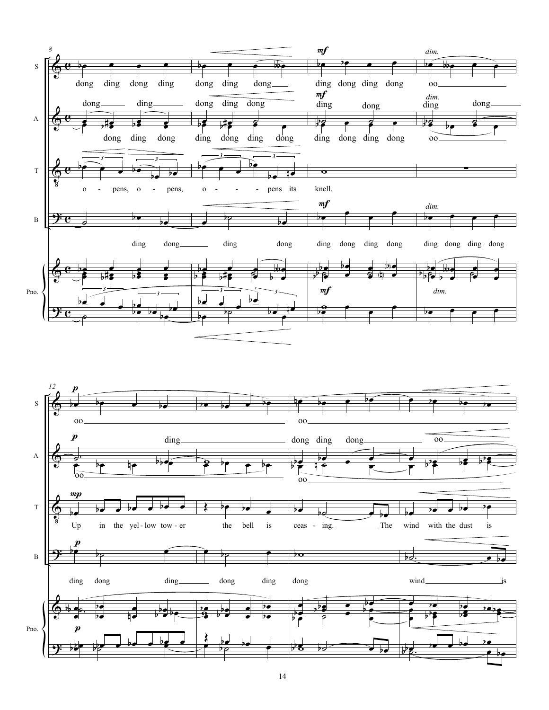

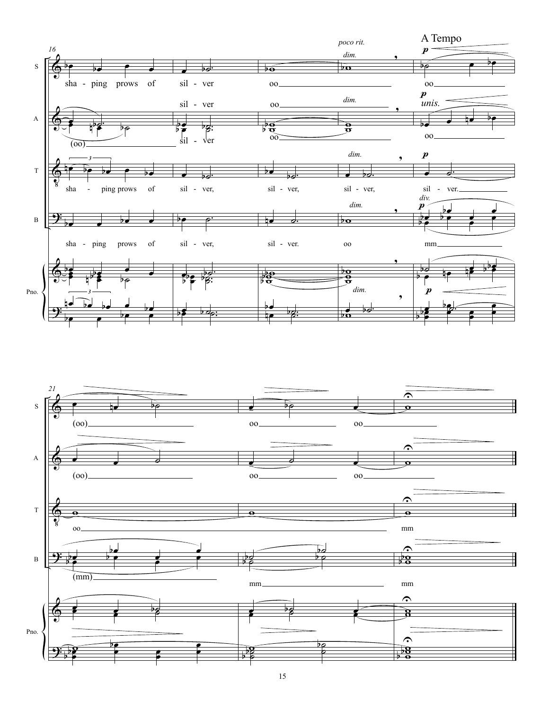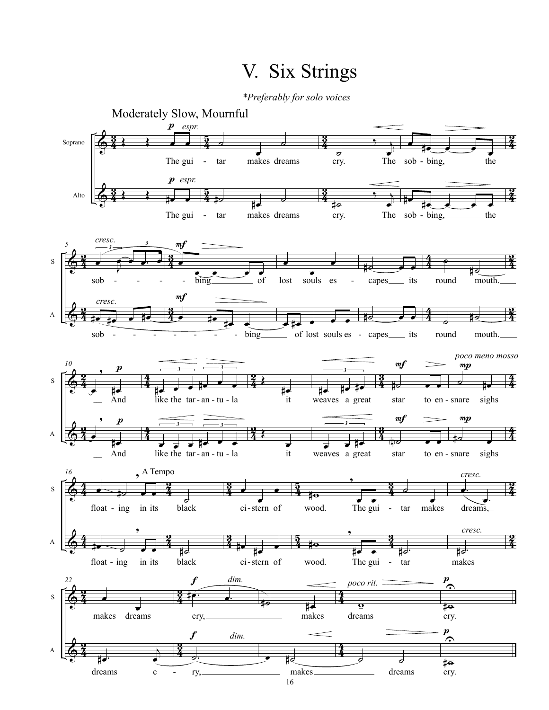### V. Six Strings

*\*Preferably for solo voices*

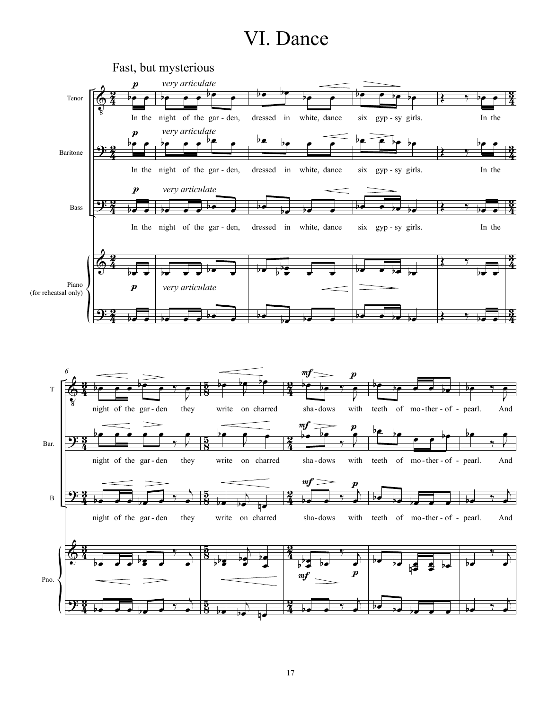## VI. Dance

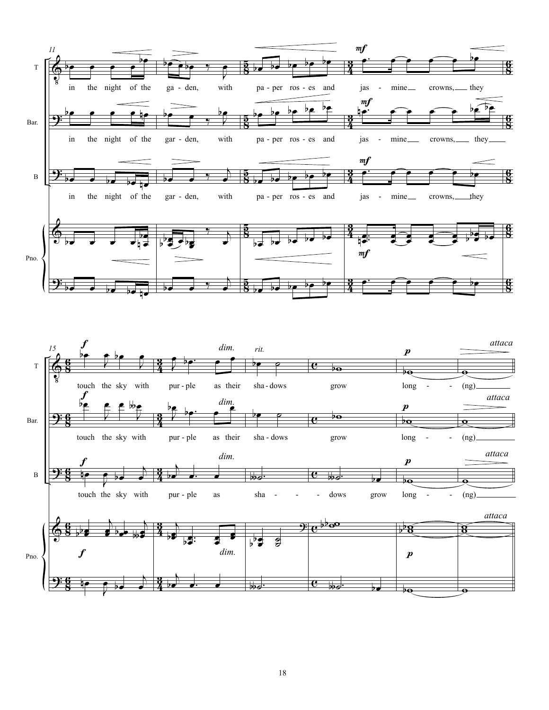

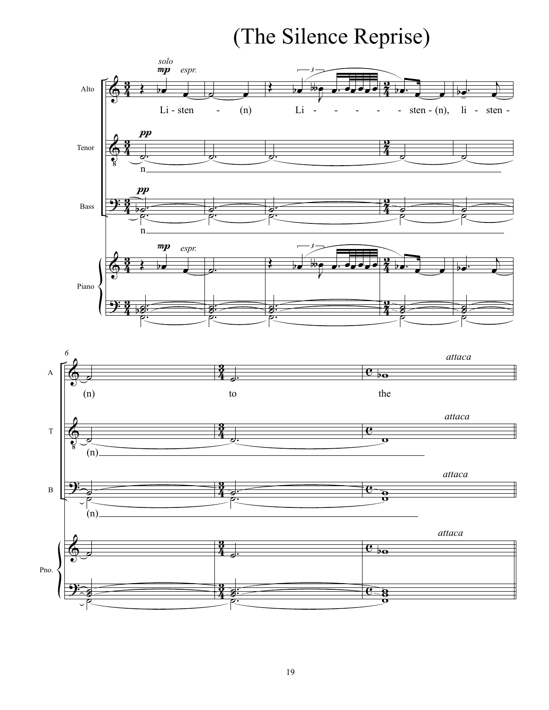# (The Silence Reprise)

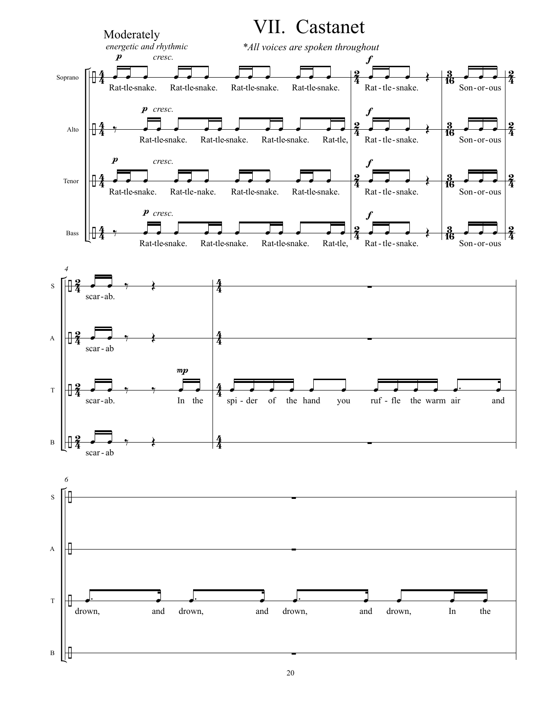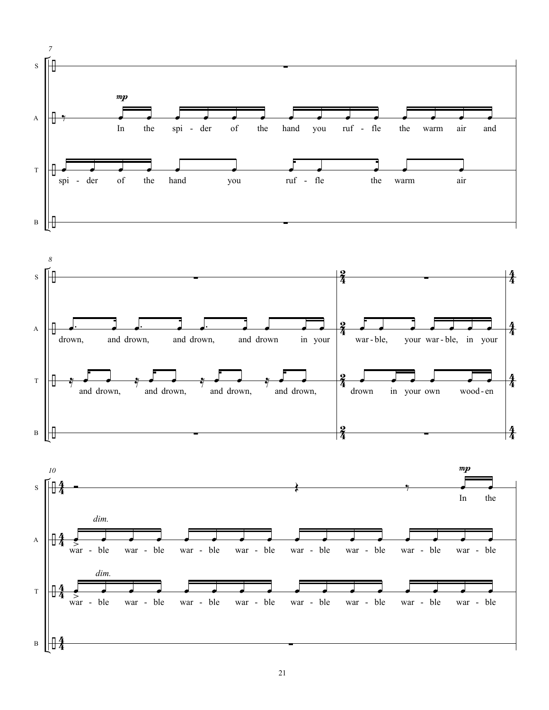

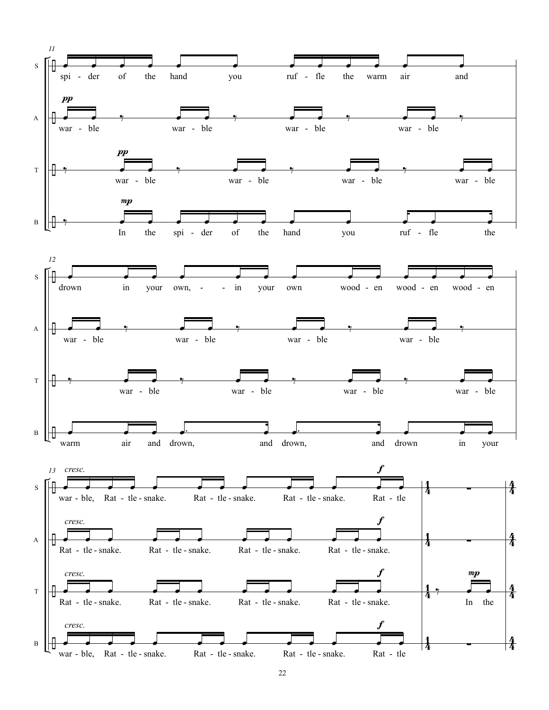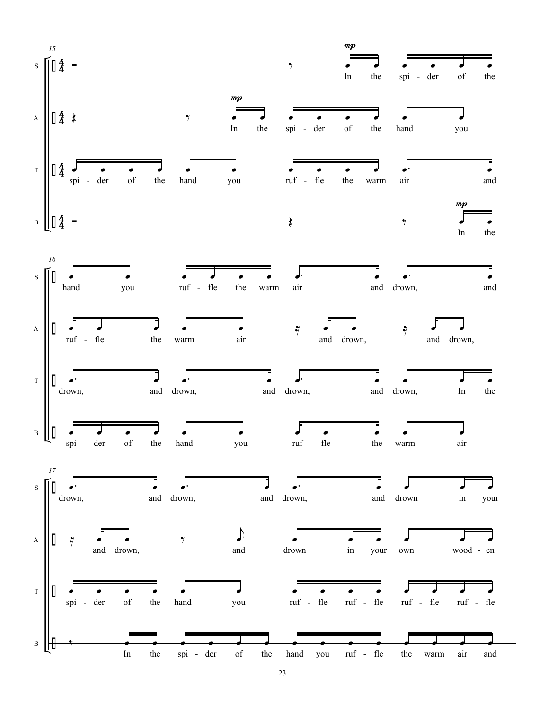

23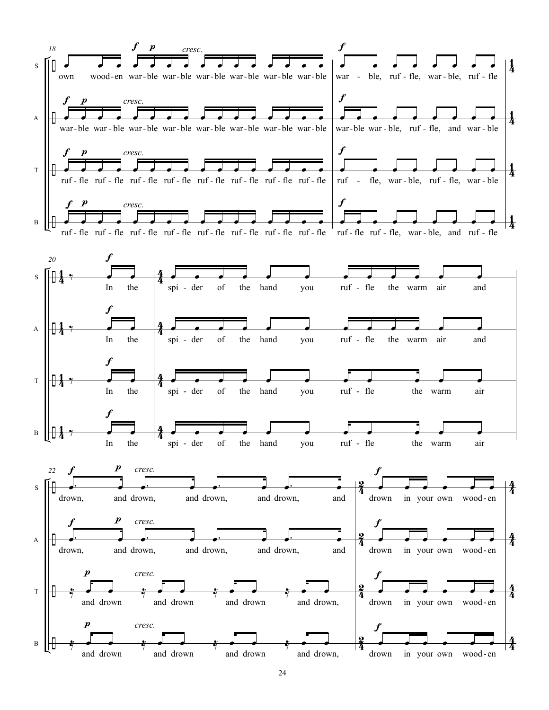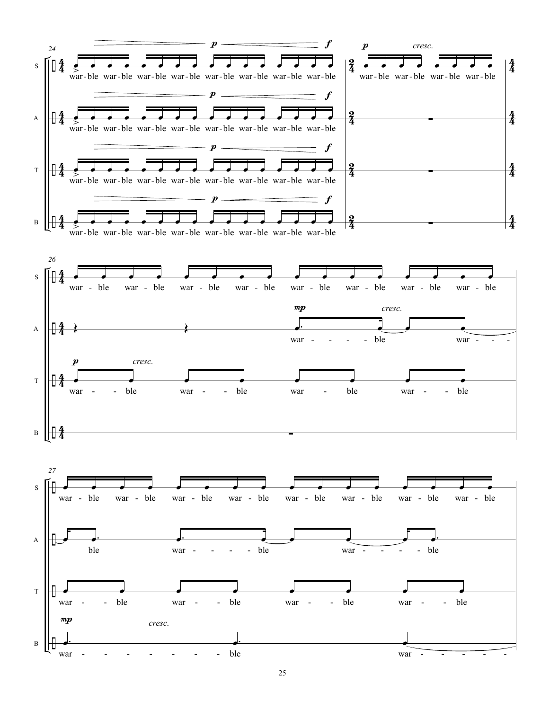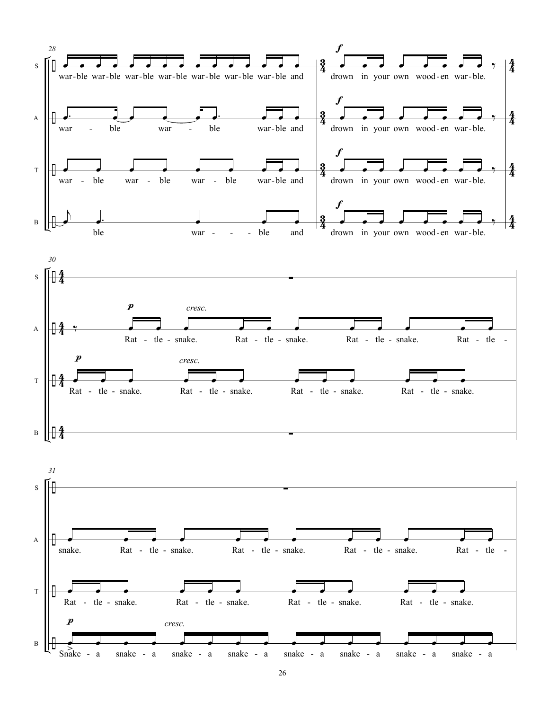